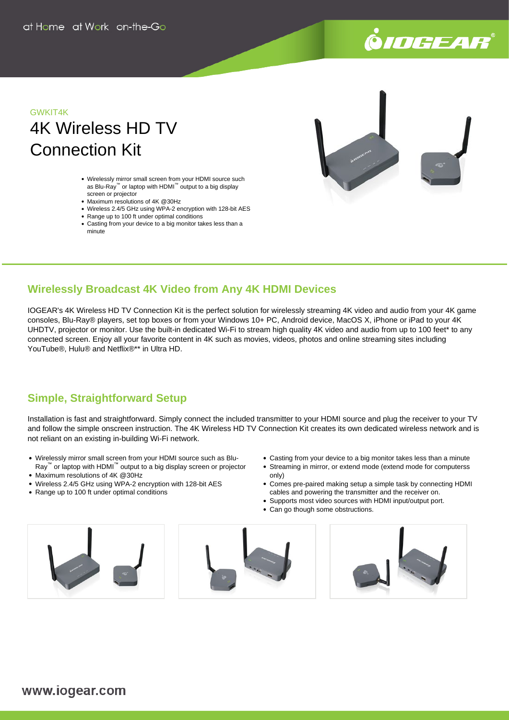

## GWKIT4K 4K Wireless HD TV Connection Kit

- Wirelessly mirror small screen from your HDMI source such as Blu-Ray™ or laptop with HDMI™ output to a big display screen or projector
- Maximum resolutions of 4K @30Hz
- Wireless 2.4/5 GHz using WPA-2 encryption with 128-bit AES
- Range up to 100 ft under optimal conditions
- Casting from your device to a big monitor takes less than a minute



#### **Wirelessly Broadcast 4K Video from Any 4K HDMI Devices**

IOGEAR's 4K Wireless HD TV Connection Kit is the perfect solution for wirelessly streaming 4K video and audio from your 4K game consoles, Blu-Ray® players, set top boxes or from your Windows 10+ PC, Android device, MacOS X, iPhone or iPad to your 4K UHDTV, projector or monitor. Use the built-in dedicated Wi-Fi to stream high quality 4K video and audio from up to 100 feet\* to any connected screen. Enjoy all your favorite content in 4K such as movies, videos, photos and online streaming sites including YouTube®, Hulu® and Netflix®\*\* in Ultra HD.

### **Simple, Straightforward Setup**

Installation is fast and straightforward. Simply connect the included transmitter to your HDMI source and plug the receiver to your TV and follow the simple onscreen instruction. The 4K Wireless HD TV Connection Kit creates its own dedicated wireless network and is not reliant on an existing in-building Wi-Fi network.

- Wirelessly mirror small screen from your HDMI source such as Blu-
- Ray<sup>™</sup> or laptop with HDMI<sup>™</sup> output to a big display screen or projector Maximum resolutions of 4K @30Hz
- Wireless 2.4/5 GHz using WPA-2 encryption with 128-bit AES
- Range up to 100 ft under optimal conditions
- Casting from your device to a big monitor takes less than a minute
- Streaming in mirror, or extend mode (extend mode for computerss only)
- Comes pre-paired making setup a simple task by connecting HDMI cables and powering the transmitter and the receiver on.
- Supports most video sources with HDMI input/output port.
- Can go though some obstructions.

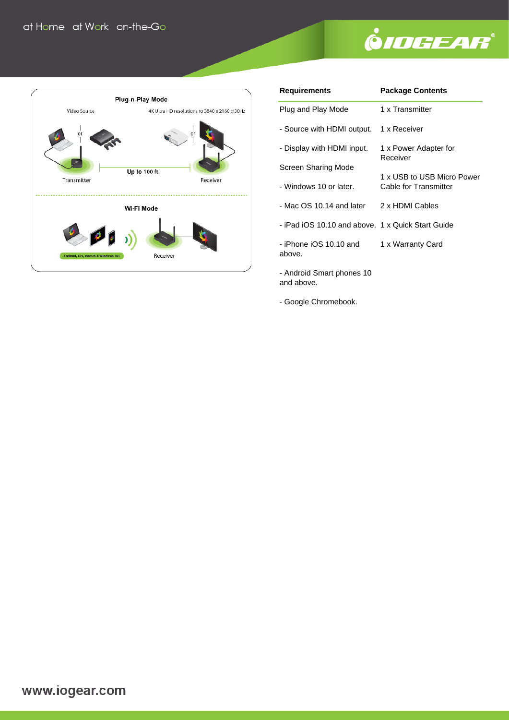# **ÖIDGEAR®**



| <b>Requirements</b>                               | <b>Package Contents</b>                                                                  |  |
|---------------------------------------------------|------------------------------------------------------------------------------------------|--|
| Plug and Play Mode                                | 1 x Transmitter                                                                          |  |
| - Source with HDMI output.                        | 1 x Receiver                                                                             |  |
| - Display with HDMI input.                        | 1 x Power Adapter for<br>Receiver<br>1 x USB to USB Micro Power<br>Cable for Transmitter |  |
| Screen Sharing Mode                               |                                                                                          |  |
| - Windows 10 or later.                            |                                                                                          |  |
| - Mac OS 10.14 and later 2 x HDMI Cables          |                                                                                          |  |
| - iPad iOS 10.10 and above. 1 x Quick Start Guide |                                                                                          |  |
| - iPhone iOS 10.10 and<br>above.                  | 1 x Warranty Card                                                                        |  |
| Android Cmart phonon 10                           |                                                                                          |  |

- Android Smart phones 10 and above.

- Google Chromebook.